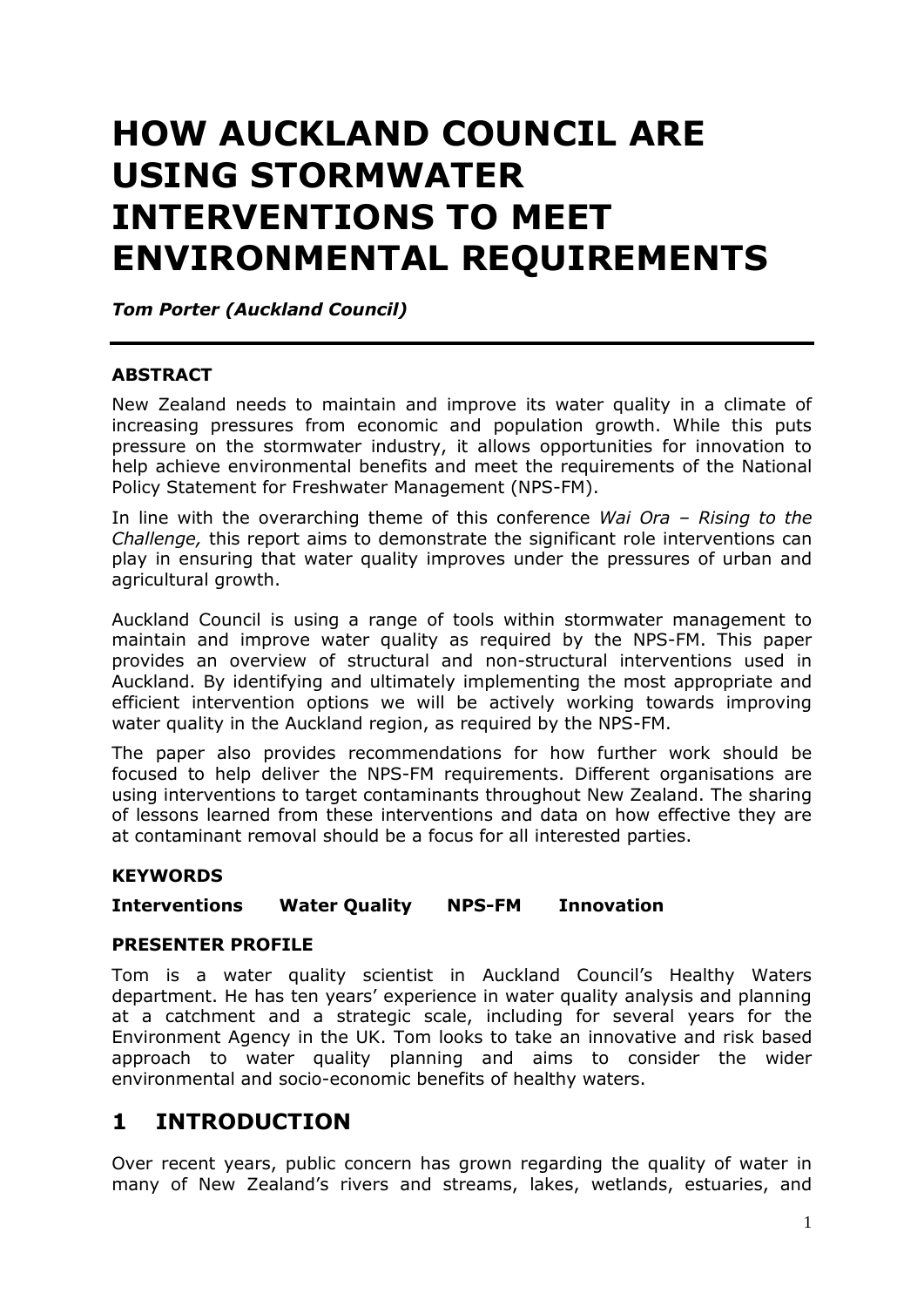# **HOW AUCKLAND COUNCIL ARE USING STORMWATER INTERVENTIONS TO MEET ENVIRONMENTAL REQUIREMENTS**

*Tom Porter (Auckland Council)*

#### **ABSTRACT**

New Zealand needs to maintain and improve its water quality in a climate of increasing pressures from economic and population growth. While this puts pressure on the stormwater industry, it allows opportunities for innovation to help achieve environmental benefits and meet the requirements of the National Policy Statement for Freshwater Management (NPS-FM).

In line with the overarching theme of this conference *Wai Ora – Rising to the Challenge,* this report aims to demonstrate the significant role interventions can play in ensuring that water quality improves under the pressures of urban and agricultural growth.

Auckland Council is using a range of tools within stormwater management to maintain and improve water quality as required by the NPS-FM. This paper provides an overview of structural and non-structural interventions used in Auckland. By identifying and ultimately implementing the most appropriate and efficient intervention options we will be actively working towards improving water quality in the Auckland region, as required by the NPS-FM.

The paper also provides recommendations for how further work should be focused to help deliver the NPS-FM requirements. Different organisations are using interventions to target contaminants throughout New Zealand. The sharing of lessons learned from these interventions and data on how effective they are at contaminant removal should be a focus for all interested parties.

#### **KEYWORDS**

#### **Interventions Water Quality NPS-FM Innovation**

#### **PRESENTER PROFILE**

Tom is a water quality scientist in Auckland Council's Healthy Waters department. He has ten years' experience in water quality analysis and planning at a catchment and a strategic scale, including for several years for the Environment Agency in the UK. Tom looks to take an innovative and risk based approach to water quality planning and aims to consider the wider environmental and socio-economic benefits of healthy waters.

# **1 INTRODUCTION**

Over recent years, public concern has grown regarding the quality of water in many of New Zealand's rivers and streams, lakes, wetlands, estuaries, and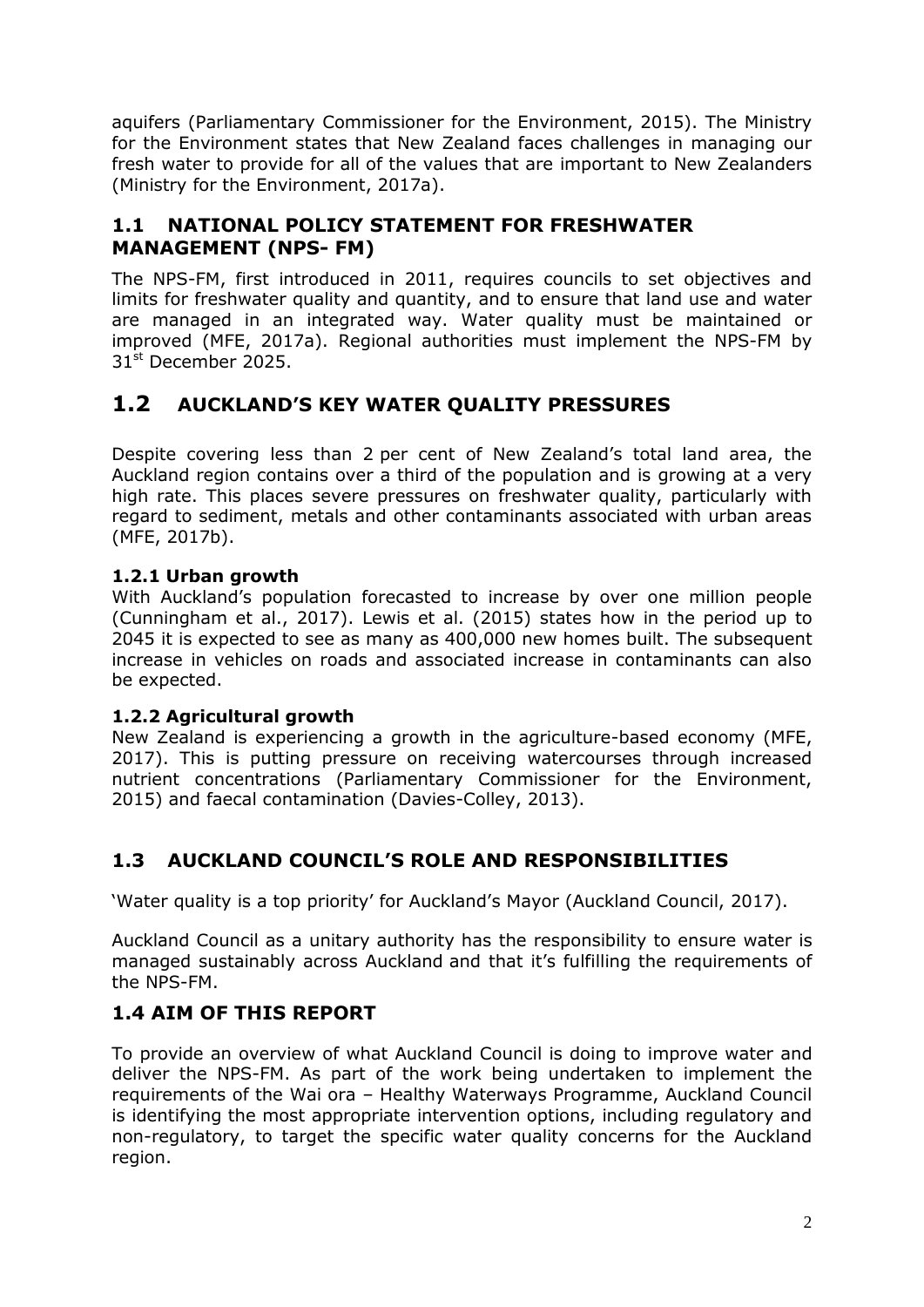aquifers (Parliamentary Commissioner for the Environment, 2015). The Ministry for the Environment states that New Zealand faces challenges in managing our fresh water to provide for all of the values that are important to New Zealanders (Ministry for the Environment, 2017a).

# **1.1 NATIONAL POLICY STATEMENT FOR FRESHWATER MANAGEMENT (NPS- FM)**

The NPS-FM, first introduced in 2011, requires councils to set objectives and limits for freshwater quality and quantity, and to ensure that land use and water are managed in an integrated way. Water quality must be maintained or improved (MFE, 2017a). Regional authorities must implement the NPS-FM by 31<sup>st</sup> December 2025.

# **1.2 AUCKLAND'S KEY WATER QUALITY PRESSURES**

Despite covering less than 2 per cent of New Zealand's total land area, the Auckland region contains over a third of the population and is growing at a very high rate. This places severe pressures on freshwater quality, particularly with regard to sediment, metals and other contaminants associated with urban areas (MFE, 2017b).

#### **1.2.1 Urban growth**

With Auckland's population forecasted to increase by over one million people (Cunningham et al., 2017). Lewis et al. (2015) states how in the period up to 2045 it is expected to see as many as 400,000 new homes built. The subsequent increase in vehicles on roads and associated increase in contaminants can also be expected.

#### **1.2.2 Agricultural growth**

New Zealand is experiencing a growth in the agriculture-based economy (MFE, 2017). This is putting pressure on receiving watercourses through increased nutrient concentrations (Parliamentary Commissioner for the Environment, 2015) and faecal contamination (Davies-Colley, 2013).

# **1.3 AUCKLAND COUNCIL'S ROLE AND RESPONSIBILITIES**

'Water quality is a top priority' for Auckland's Mayor (Auckland Council, 2017).

Auckland Council as a unitary authority has the responsibility to ensure water is managed sustainably across Auckland and that it's fulfilling the requirements of the NPS-FM.

# **1.4 AIM OF THIS REPORT**

To provide an overview of what Auckland Council is doing to improve water and deliver the NPS-FM. As part of the work being undertaken to implement the requirements of the Wai ora – Healthy Waterways Programme, Auckland Council is identifying the most appropriate intervention options, including regulatory and non-regulatory, to target the specific water quality concerns for the Auckland region.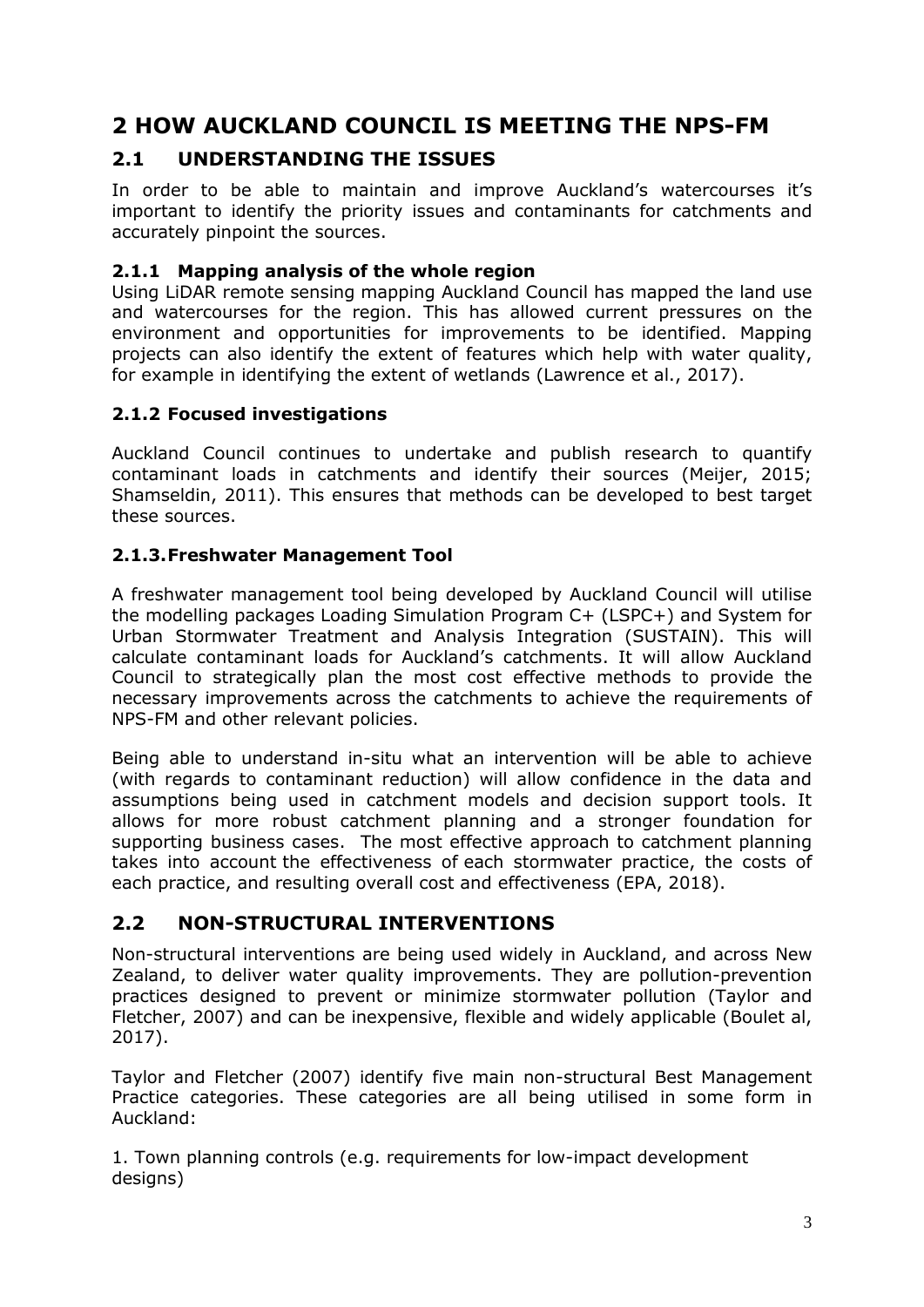# **2 HOW AUCKLAND COUNCIL IS MEETING THE NPS-FM**

# **2.1 UNDERSTANDING THE ISSUES**

In order to be able to maintain and improve Auckland's watercourses it's important to identify the priority issues and contaminants for catchments and accurately pinpoint the sources.

#### **2.1.1 Mapping analysis of the whole region**

Using LiDAR [remote sensing](https://oceanservice.noaa.gov/facts/remotesensing.html) mapping Auckland Council has mapped the land use and watercourses for the region. This has allowed current pressures on the environment and opportunities for improvements to be identified. Mapping projects can also identify the extent of features which help with water quality, for example in identifying the extent of wetlands (Lawrence et al., 2017).

#### **2.1.2 Focused investigations**

Auckland Council continues to undertake and publish research to quantify contaminant loads in catchments and identify their sources (Meijer, 2015; Shamseldin, 2011). This ensures that methods can be developed to best target these sources.

#### **2.1.3.Freshwater Management Tool**

A freshwater management tool being developed by Auckland Council will utilise the modelling packages Loading Simulation Program C+ (LSPC+) and System for Urban Stormwater Treatment and Analysis Integration (SUSTAIN). This will calculate contaminant loads for Auckland's catchments. It will allow Auckland Council to strategically plan the most cost effective methods to provide the necessary improvements across the catchments to achieve the requirements of NPS-FM and other relevant policies.

Being able to understand in-situ what an intervention will be able to achieve (with regards to contaminant reduction) will allow confidence in the data and assumptions being used in catchment models and decision support tools. It allows for more robust catchment planning and a stronger foundation for supporting business cases. The most effective approach to catchment planning takes into account the effectiveness of each stormwater practice, the costs of each practice, and resulting overall cost and effectiveness (EPA, 2018).

#### **2.2 NON-STRUCTURAL INTERVENTIONS**

Non-structural interventions are being used widely in Auckland, and across New Zealand, to deliver water quality improvements. They are pollution-prevention practices designed to prevent or minimize stormwater pollution (Taylor and Fletcher, 2007) and can be inexpensive, flexible and widely applicable (Boulet al, 2017).

Taylor and Fletcher (2007) identify five main non-structural Best Management Practice categories. These categories are all being utilised in some form in Auckland:

1. Town planning controls (e.g. requirements for low-impact development designs)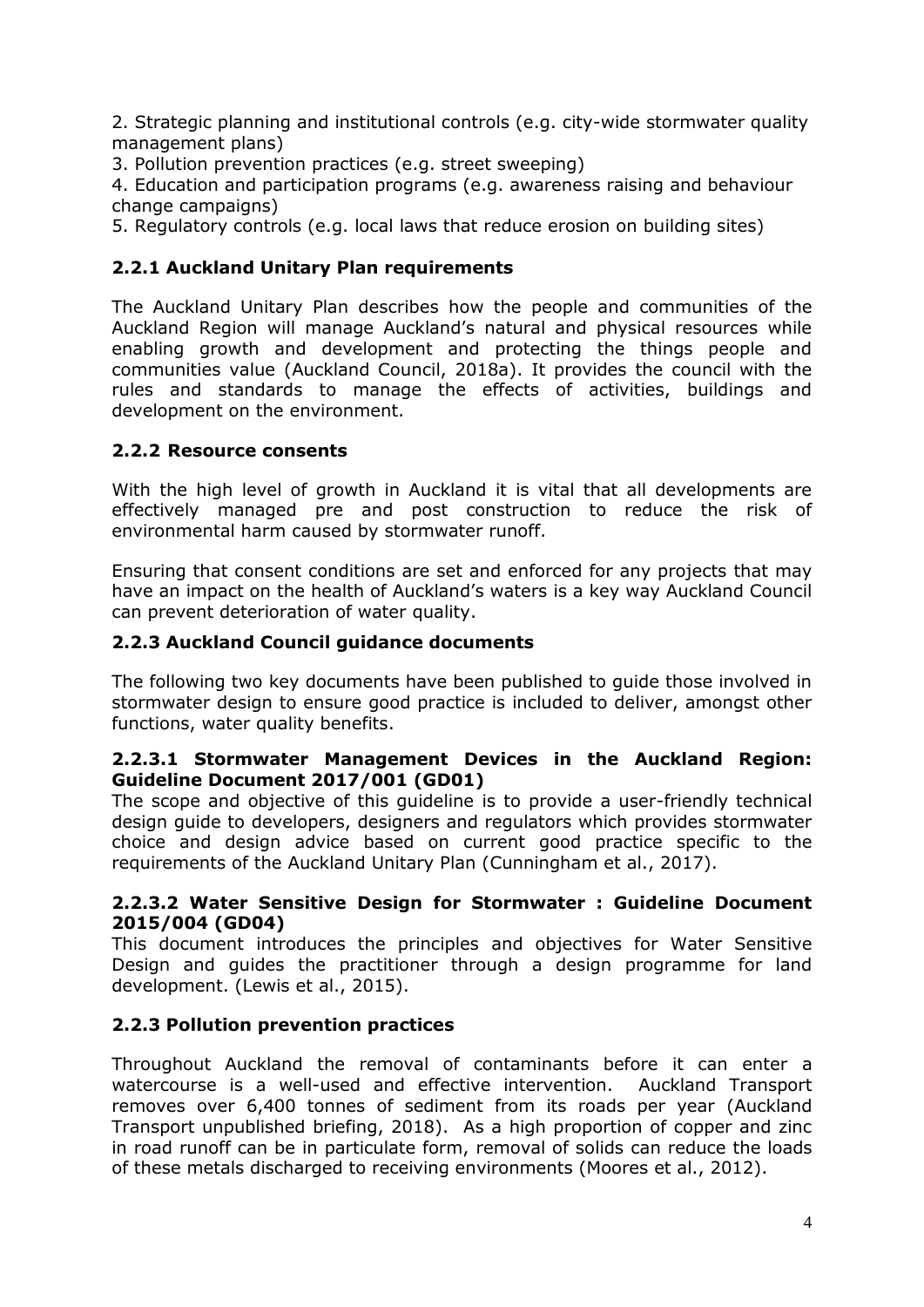2. Strategic planning and institutional controls (e.g. city-wide stormwater quality management plans)

3. Pollution prevention practices (e.g. street sweeping)

4. Education and participation programs (e.g. awareness raising and behaviour change campaigns)

5. Regulatory controls (e.g. local laws that reduce erosion on building sites)

#### **2.2.1 Auckland Unitary Plan requirements**

The Auckland Unitary Plan describes how the people and communities of the Auckland Region will manage Auckland's natural and physical resources while enabling growth and development and protecting the things people and communities value (Auckland Council, 2018a). It provides the council with the rules and standards to manage the effects of activities, buildings and development on the environment.

#### **2.2.2 Resource consents**

With the high level of growth in Auckland it is vital that all developments are effectively managed pre and post construction to reduce the risk of environmental harm caused by stormwater runoff.

Ensuring that consent conditions are set and enforced for any projects that may have an impact on the health of Auckland's waters is a key way Auckland Council can prevent deterioration of water quality.

#### **2.2.3 Auckland Council guidance documents**

The following two key documents have been published to guide those involved in stormwater design to ensure good practice is included to deliver, amongst other functions, water quality benefits.

#### **2.2.3.1 Stormwater Management Devices in the Auckland Region: Guideline Document 2017/001 (GD01)**

The scope and objective of this guideline is to provide a user-friendly technical design guide to developers, designers and regulators which provides stormwater choice and design advice based on current good practice specific to the requirements of the Auckland Unitary Plan (Cunningham et al., 2017).

#### **2.2.3.2 Water Sensitive Design for Stormwater : Guideline Document 2015/004 (GD04)**

This document introduces the principles and objectives for Water Sensitive Design and guides the practitioner through a design programme for land development. (Lewis et al., 2015).

#### **2.2.3 Pollution prevention practices**

Throughout Auckland the removal of contaminants before it can enter a watercourse is a well-used and effective intervention. Auckland Transport removes over 6,400 tonnes of sediment from its roads per year (Auckland Transport unpublished briefing, 2018). As a high proportion of copper and zinc in road runoff can be in particulate form, removal of solids can reduce the loads of these metals discharged to receiving environments (Moores et al., 2012).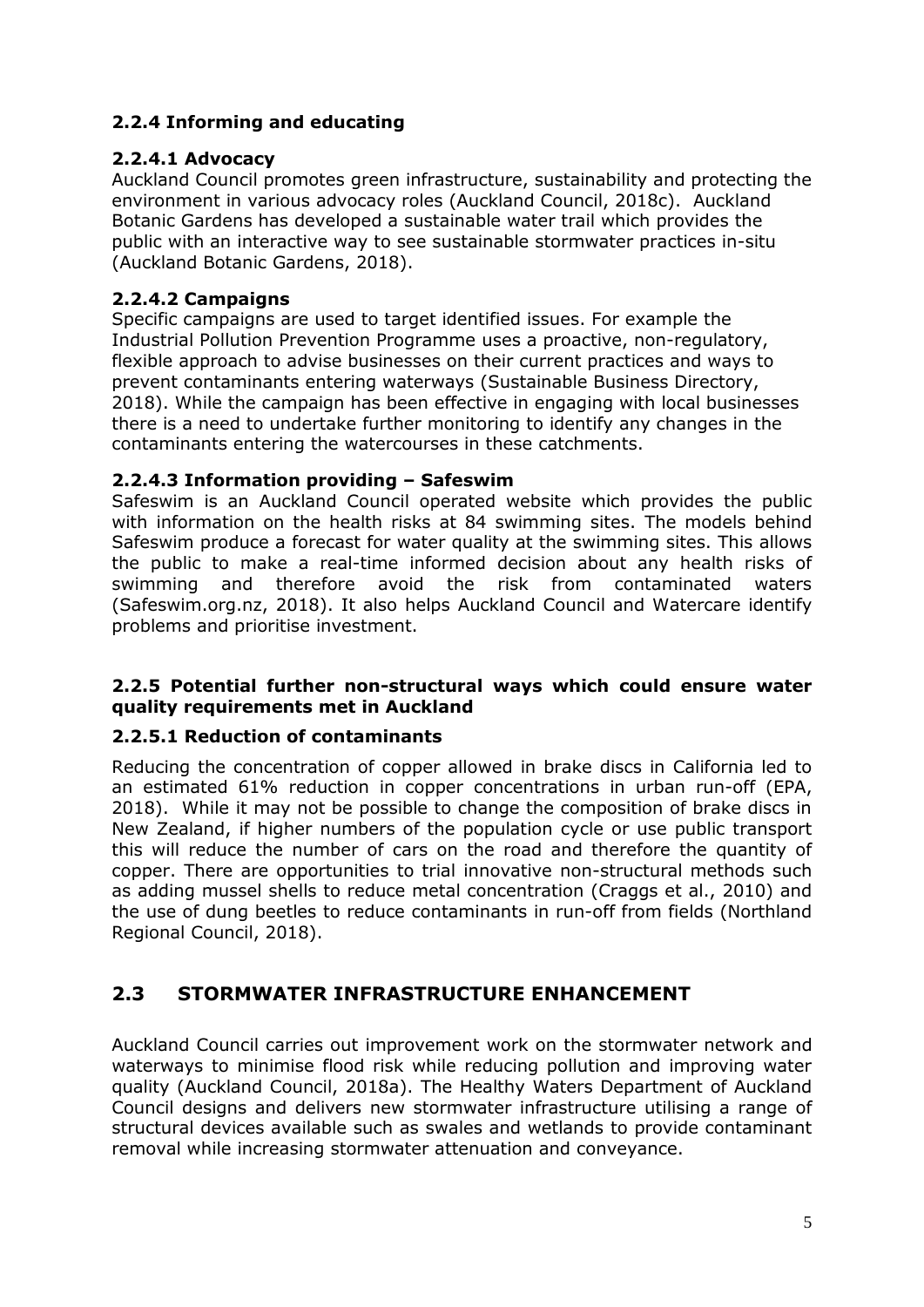## **2.2.4 Informing and educating**

#### **2.2.4.1 Advocacy**

Auckland Council promotes green infrastructure, sustainability and protecting the environment in various advocacy roles (Auckland Council, 2018c). Auckland Botanic Gardens has developed a sustainable water trail which provides the public with an interactive way to see sustainable stormwater practices in-situ (Auckland Botanic Gardens, 2018).

#### **2.2.4.2 Campaigns**

Specific campaigns are used to target identified issues. For example the Industrial Pollution Prevention Programme uses a proactive, non-regulatory, flexible approach to advise businesses on their current practices and ways to prevent contaminants entering waterways (Sustainable Business Directory, 2018). While the campaign has been effective in engaging with local businesses there is a need to undertake further monitoring to identify any changes in the contaminants entering the watercourses in these catchments.

#### **2.2.4.3 Information providing – Safeswim**

Safeswim is an Auckland Council operated website which provides the public with information on the health risks at 84 swimming sites. The models behind Safeswim produce a forecast for water quality at the swimming sites. This allows the public to make a real-time informed decision about any health risks of swimming and therefore avoid the risk from contaminated waters (Safeswim.org.nz, 2018). It also helps Auckland Council and Watercare identify problems and prioritise investment.

#### **2.2.5 Potential further non-structural ways which could ensure water quality requirements met in Auckland**

#### **2.2.5.1 Reduction of contaminants**

Reducing the concentration of copper allowed in brake discs in California led to an estimated 61% reduction in copper concentrations in urban run-off (EPA, 2018). While it may not be possible to change the composition of brake discs in New Zealand, if higher numbers of the population cycle or use public transport this will reduce the number of cars on the road and therefore the quantity of copper. There are opportunities to trial innovative non-structural methods such as adding mussel shells to reduce metal concentration (Craggs et al., 2010) and the use of dung beetles to reduce contaminants in run-off from fields (Northland Regional Council, 2018).

# **2.3 STORMWATER INFRASTRUCTURE ENHANCEMENT**

Auckland Council carries out improvement work on the stormwater network and waterways to minimise flood risk while reducing pollution and improving water quality (Auckland Council, 2018a). The Healthy Waters Department of Auckland Council designs and delivers new stormwater infrastructure utilising a range of structural devices available such as swales and wetlands to provide contaminant removal while increasing stormwater attenuation and conveyance.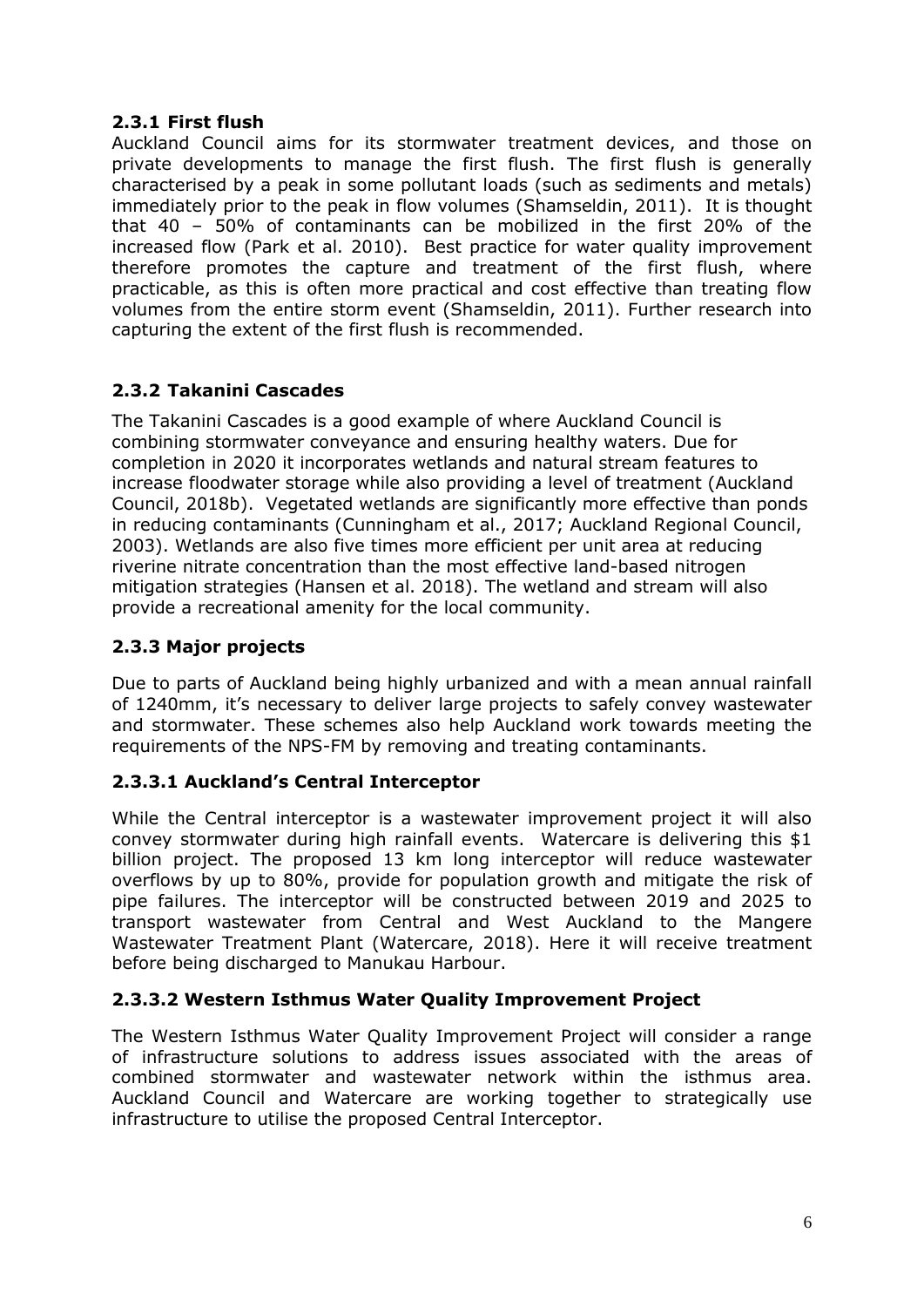#### **2.3.1 First flush**

Auckland Council aims for its stormwater treatment devices, and those on private developments to manage the first flush. The first flush is generally characterised by a peak in some pollutant loads (such as sediments and metals) immediately prior to the peak in flow volumes (Shamseldin, 2011). It is thought that 40 – 50% of contaminants can be mobilized in the first 20% of the increased flow (Park et al. 2010). Best practice for water quality improvement therefore promotes the capture and treatment of the first flush, where practicable, as this is often more practical and cost effective than treating flow volumes from the entire storm event (Shamseldin, 2011). Further research into capturing the extent of the first flush is recommended.

## **2.3.2 Takanini Cascades**

The Takanini Cascades is a good example of where Auckland Council is combining stormwater conveyance and ensuring healthy waters. Due for completion in 2020 it incorporates wetlands and natural stream features to increase floodwater storage while also providing a level of treatment (Auckland Council, 2018b). Vegetated wetlands are significantly more effective than ponds in reducing contaminants (Cunningham et al., 2017; Auckland Regional Council, 2003). Wetlands are also five times more efficient per unit area at reducing riverine nitrate concentration than the most effective land-based nitrogen mitigation strategies (Hansen et al. 2018). The wetland and stream will also provide a recreational amenity for the local community.

#### **2.3.3 Major projects**

Due to parts of Auckland being highly urbanized and with a mean annual rainfall of 1240mm, it's necessary to deliver large projects to safely convey wastewater and stormwater. These schemes also help Auckland work towards meeting the requirements of the NPS-FM by removing and treating contaminants.

#### **2.3.3.1 Auckland's Central Interceptor**

While the Central interceptor is a wastewater improvement project it will also convey stormwater during high rainfall events. Watercare is delivering this \$1 billion project. The proposed 13 km long interceptor will reduce wastewater overflows by up to 80%, provide for population growth and mitigate the risk of pipe failures. The interceptor will be constructed between 2019 and 2025 to transport wastewater from Central and West Auckland to the Mangere Wastewater Treatment Plant (Watercare, 2018). Here it will receive treatment before being discharged to Manukau Harbour.

#### **2.3.3.2 Western Isthmus Water Quality Improvement Project**

The Western Isthmus Water Quality Improvement Project will consider a range of infrastructure solutions to address issues associated with the areas of combined stormwater and wastewater network within the isthmus area. Auckland Council and Watercare are working together to strategically use infrastructure to utilise the proposed Central Interceptor.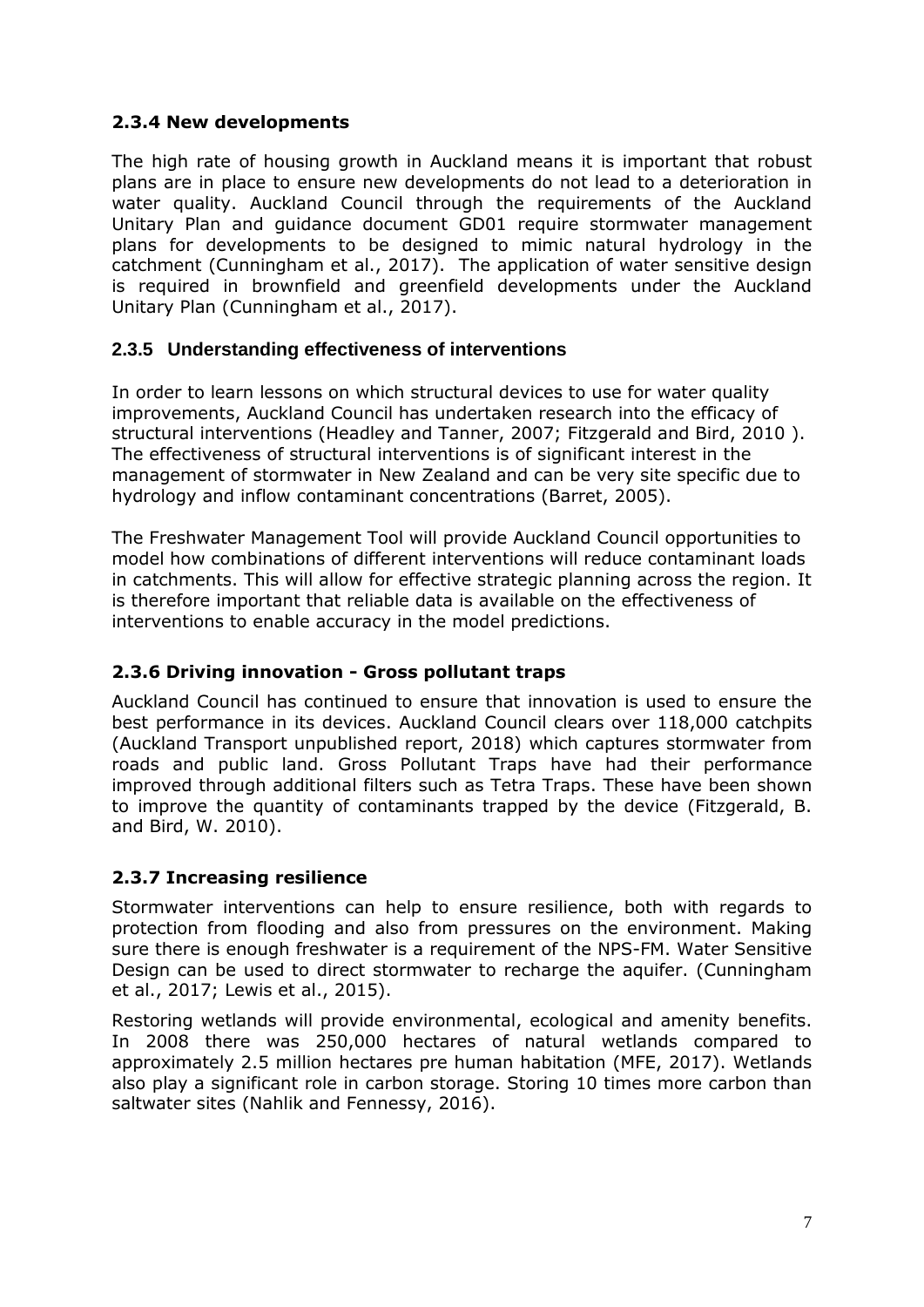#### **2.3.4 New developments**

The high rate of housing growth in Auckland means it is important that robust plans are in place to ensure new developments do not lead to a deterioration in water quality. Auckland Council through the requirements of the Auckland Unitary Plan and guidance document GD01 require stormwater management plans for developments to be designed to mimic natural hydrology in the catchment (Cunningham et al., 2017). The application of water sensitive design is required in brownfield and greenfield developments under the Auckland Unitary Plan (Cunningham et al., 2017).

## **2.3.5 Understanding effectiveness of interventions**

In order to learn lessons on which structural devices to use for water quality improvements, Auckland Council has undertaken research into the efficacy of structural interventions (Headley and Tanner, 2007; Fitzgerald and Bird, 2010 ). The effectiveness of structural interventions is of significant interest in the management of stormwater in New Zealand and can be very site specific due to hydrology and inflow contaminant concentrations (Barret, 2005).

The Freshwater Management Tool will provide Auckland Council opportunities to model how combinations of different interventions will reduce contaminant loads in catchments. This will allow for effective strategic planning across the region. It is therefore important that reliable data is available on the effectiveness of interventions to enable accuracy in the model predictions.

#### **2.3.6 Driving innovation - Gross pollutant traps**

Auckland Council has continued to ensure that innovation is used to ensure the best performance in its devices. Auckland Council clears over 118,000 catchpits (Auckland Transport unpublished report, 2018) which captures stormwater from roads and public land. Gross Pollutant Traps have had their performance improved through additional filters such as Tetra Traps. These have been shown to improve the quantity of contaminants trapped by the device (Fitzgerald, B. and Bird, W. 2010).

#### **2.3.7 Increasing resilience**

Stormwater interventions can help to ensure resilience, both with regards to protection from flooding and also from pressures on the environment. Making sure there is enough freshwater is a requirement of the NPS-FM. Water Sensitive Design can be used to direct stormwater to recharge the aquifer. (Cunningham et al., 2017; Lewis et al., 2015).

Restoring wetlands will provide environmental, ecological and amenity benefits. In 2008 there was 250,000 hectares of natural wetlands compared to approximately 2.5 million hectares pre human habitation (MFE, 2017). Wetlands also play a significant role in carbon storage. Storing 10 times more carbon than saltwater sites (Nahlik and Fennessy, 2016).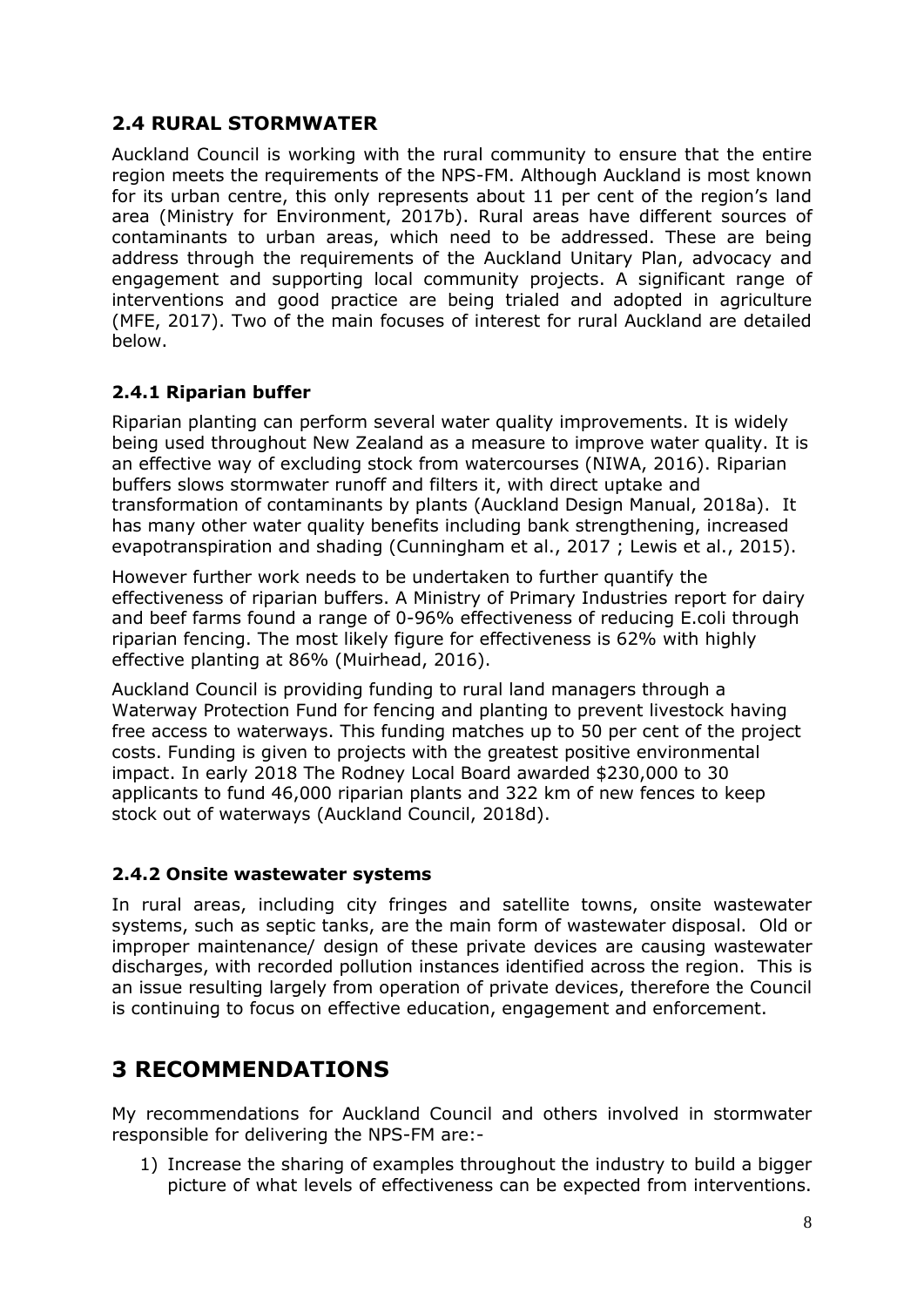# **2.4 RURAL STORMWATER**

Auckland Council is working with the rural community to ensure that the entire region meets the requirements of the NPS-FM. Although Auckland is most known for its urban centre, this only represents about 11 per cent of the region's land area (Ministry for Environment, 2017b). Rural areas have different sources of contaminants to urban areas, which need to be addressed. These are being address through the requirements of the Auckland Unitary Plan, advocacy and engagement and supporting local community projects. A significant range of interventions and good practice are being trialed and adopted in agriculture (MFE, 2017). Two of the main focuses of interest for rural Auckland are detailed below.

# **2.4.1 Riparian buffer**

Riparian planting can perform several water quality improvements. It is widely being used throughout New Zealand as a measure to improve water quality. It is an effective way of excluding stock from watercourses (NIWA, 2016). Riparian buffers slows stormwater [runoff](http://www.aucklanddesignmanual.co.nz/project-type/infrastructure/technical-guidance/wsd/guidance/conceptdesign/enhancingthereceivingenvironment/riparianbuffers) and filters it, with direct uptake and transformation of contaminants by plants (Auckland Design Manual, 2018a). It has many other water quality benefits including bank strengthening, increased evapotranspiration and shading (Cunningham et al., 2017 ; Lewis et al., 2015).

However further work needs to be undertaken to further quantify the effectiveness of riparian buffers. A Ministry of Primary Industries report for dairy and beef farms found a range of 0-96% effectiveness of reducing E.coli through riparian fencing. The most likely figure for effectiveness is 62% with highly effective planting at 86% (Muirhead, 2016).

Auckland Council is providing funding to rural land managers through a Waterway Protection Fund for fencing and planting to prevent livestock having free access to waterways. This funding matches up to 50 per cent of the project costs. Funding is given to projects with the greatest positive environmental impact. In early 2018 The Rodney Local Board awarded \$230,000 to 30 applicants to fund 46,000 riparian plants and 322 km of new fences to keep stock out of waterways (Auckland Council, 2018d).

#### **2.4.2 Onsite wastewater systems**

In rural areas, including city fringes and satellite towns, onsite wastewater systems, such as septic tanks, are the main form of wastewater disposal. Old or improper maintenance/ design of these private devices are causing wastewater discharges, with recorded pollution instances identified across the region. This is an issue resulting largely from operation of private devices, therefore the Council is continuing to focus on effective education, engagement and enforcement.

# **3 RECOMMENDATIONS**

My recommendations for Auckland Council and others involved in stormwater responsible for delivering the NPS-FM are:-

1) Increase the sharing of examples throughout the industry to build a bigger picture of what levels of effectiveness can be expected from interventions.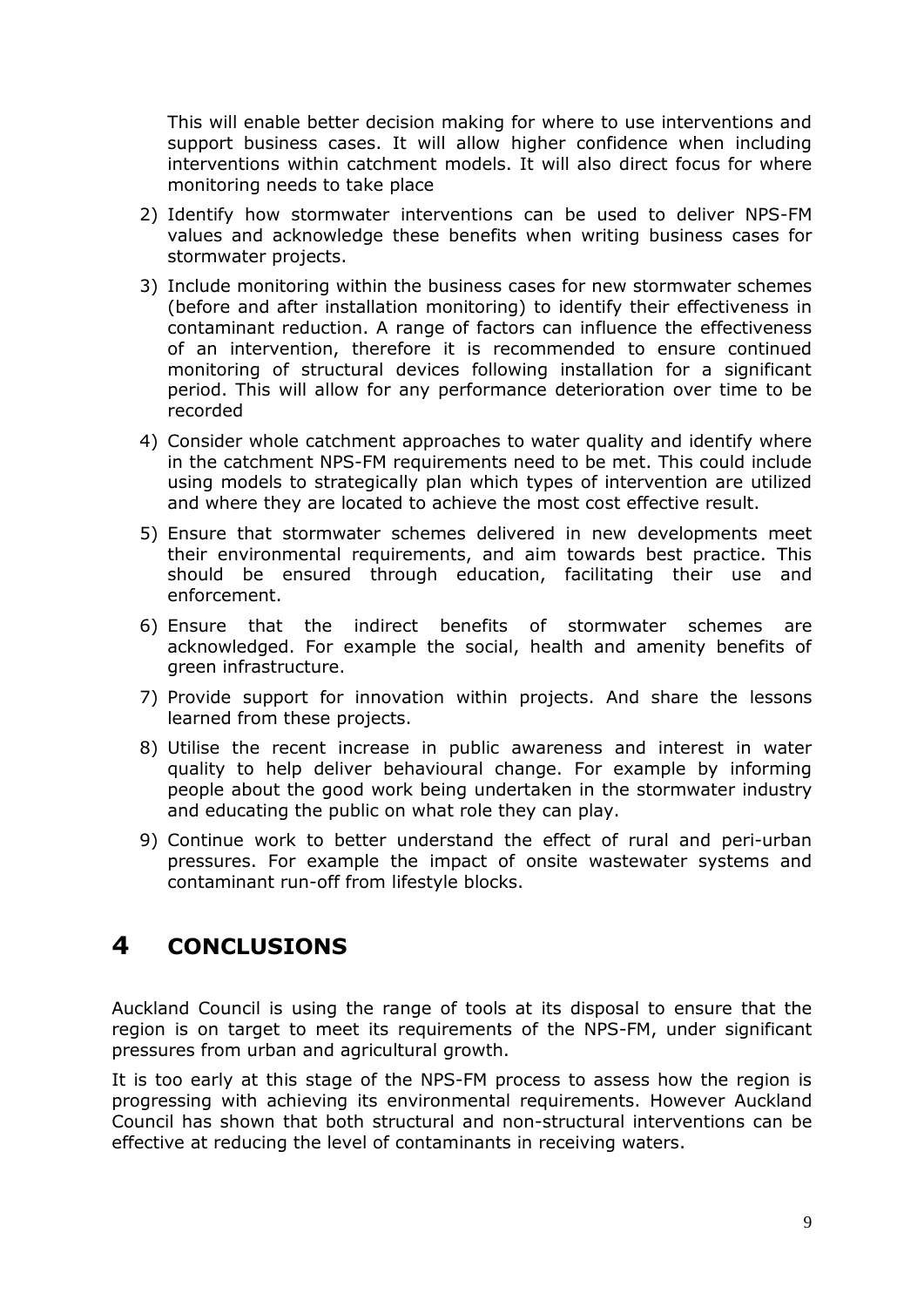This will enable better decision making for where to use interventions and support business cases. It will allow higher confidence when including interventions within catchment models. It will also direct focus for where monitoring needs to take place

- 2) Identify how stormwater interventions can be used to deliver NPS-FM values and acknowledge these benefits when writing business cases for stormwater projects.
- 3) Include monitoring within the business cases for new stormwater schemes (before and after installation monitoring) to identify their effectiveness in contaminant reduction. A range of factors can influence the effectiveness of an intervention, therefore it is recommended to ensure continued monitoring of structural devices following installation for a significant period. This will allow for any performance deterioration over time to be recorded
- 4) Consider whole catchment approaches to water quality and identify where in the catchment NPS-FM requirements need to be met. This could include using models to strategically plan which types of intervention are utilized and where they are located to achieve the most cost effective result.
- 5) Ensure that stormwater schemes delivered in new developments meet their environmental requirements, and aim towards best practice. This should be ensured through education, facilitating their use and enforcement.
- 6) Ensure that the indirect benefits of stormwater schemes are acknowledged. For example the social, health and amenity benefits of green infrastructure.
- 7) Provide support for innovation within projects. And share the lessons learned from these projects.
- 8) Utilise the recent increase in public awareness and interest in water quality to help deliver behavioural change. For example by informing people about the good work being undertaken in the stormwater industry and educating the public on what role they can play.
- 9) Continue work to better understand the effect of rural and peri-urban pressures. For example the impact of onsite wastewater systems and contaminant run-off from lifestyle blocks.

# **4 CONCLUSIONS**

Auckland Council is using the range of tools at its disposal to ensure that the region is on target to meet its requirements of the NPS-FM, under significant pressures from urban and agricultural growth.

It is too early at this stage of the NPS-FM process to assess how the region is progressing with achieving its environmental requirements. However Auckland Council has shown that both structural and non-structural interventions can be effective at reducing the level of contaminants in receiving waters.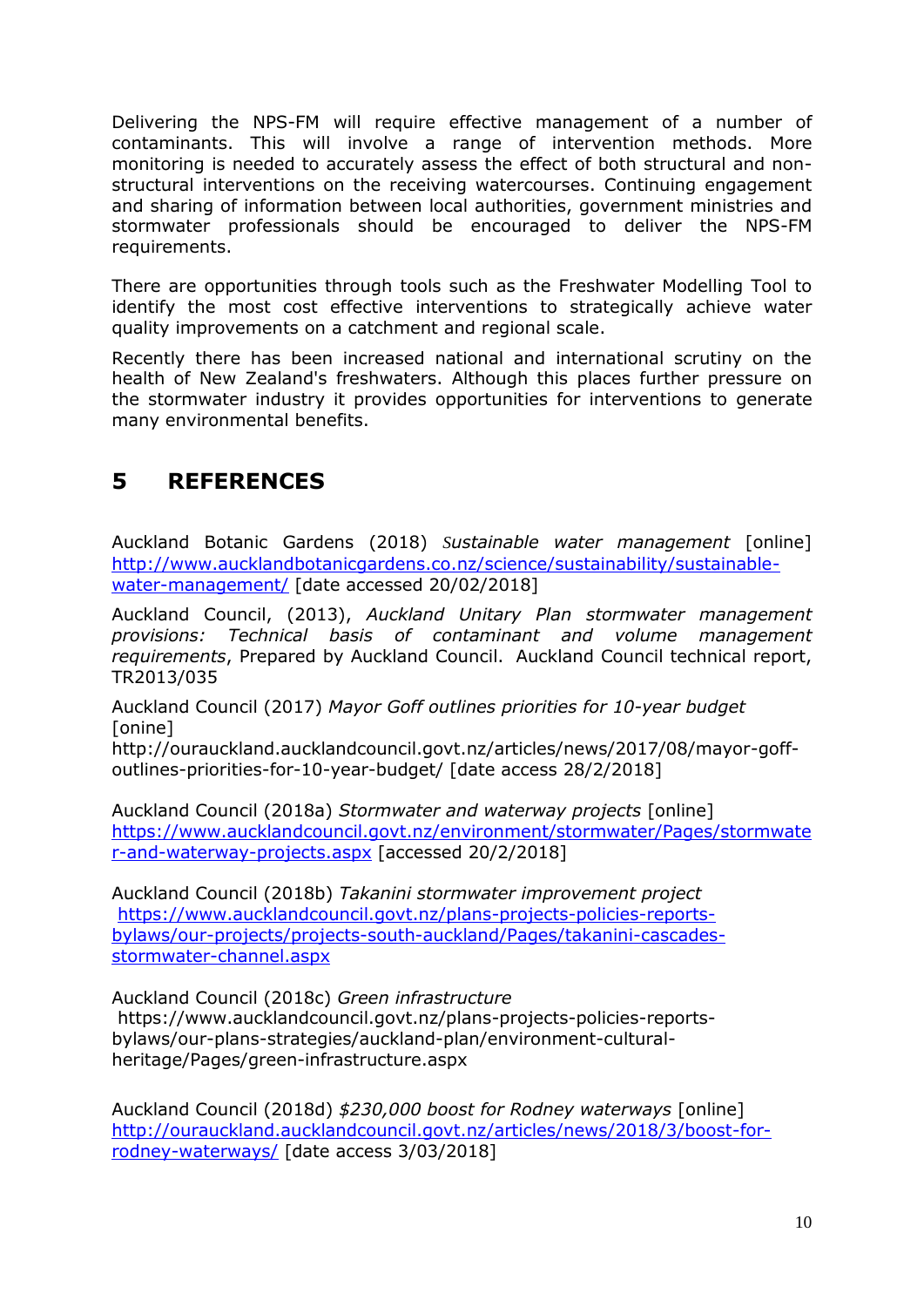Delivering the NPS-FM will require effective management of a number of contaminants. This will involve a range of intervention methods. More monitoring is needed to accurately assess the effect of both structural and nonstructural interventions on the receiving watercourses. Continuing engagement and sharing of information between local authorities, government ministries and stormwater professionals should be encouraged to deliver the NPS-FM requirements.

There are opportunities through tools such as the Freshwater Modelling Tool to identify the most cost effective interventions to strategically achieve water quality improvements on a catchment and regional scale.

Recently there has been increased national and international scrutiny on the health of New Zealand's freshwaters. Although this places further pressure on the stormwater industry it provides opportunities for interventions to generate many environmental benefits.

# **5 REFERENCES**

Auckland Botanic Gardens (2018) *Sustainable water management* [online] [http://www.aucklandbotanicgardens.co.nz/science/sustainability/sustainable](http://www.aucklandbotanicgardens.co.nz/science/sustainability/sustainable-water-management/)[water-management/](http://www.aucklandbotanicgardens.co.nz/science/sustainability/sustainable-water-management/) [date accessed 20/02/2018]

Auckland Council, (2013), *Auckland Unitary Plan stormwater management provisions: Technical basis of contaminant and volume management requirements*, Prepared by Auckland Council. Auckland Council technical report, TR2013/035

Auckland Council (2017) *Mayor Goff outlines priorities for 10-year budget* [onine]

http://ourauckland.aucklandcouncil.govt.nz/articles/news/2017/08/mayor-goffoutlines-priorities-for-10-year-budget/ [date access 28/2/2018]

Auckland Council (2018a) *Stormwater and waterway projects* [online] [https://www.aucklandcouncil.govt.nz/environment/stormwater/Pages/stormwate](https://www.aucklandcouncil.govt.nz/environment/stormwater/Pages/stormwater-and-waterway-projects.aspx) [r-and-waterway-projects.aspx](https://www.aucklandcouncil.govt.nz/environment/stormwater/Pages/stormwater-and-waterway-projects.aspx) [accessed 20/2/2018]

Auckland Council (2018b) *Takanini stormwater improvement project* [https://www.aucklandcouncil.govt.nz/plans-projects-policies-reports](https://www.aucklandcouncil.govt.nz/plans-projects-policies-reports-bylaws/our-projects/projects-south-auckland/Pages/takanini-cascades-stormwater-channel.aspx)[bylaws/our-projects/projects-south-auckland/Pages/takanini-cascades](https://www.aucklandcouncil.govt.nz/plans-projects-policies-reports-bylaws/our-projects/projects-south-auckland/Pages/takanini-cascades-stormwater-channel.aspx)[stormwater-channel.aspx](https://www.aucklandcouncil.govt.nz/plans-projects-policies-reports-bylaws/our-projects/projects-south-auckland/Pages/takanini-cascades-stormwater-channel.aspx)

Auckland Council (2018c) *Green infrastructure* https://www.aucklandcouncil.govt.nz/plans-projects-policies-reportsbylaws/our-plans-strategies/auckland-plan/environment-culturalheritage/Pages/green-infrastructure.aspx

Auckland Council (2018d) *\$230,000 boost for Rodney waterways* [online] [http://ourauckland.aucklandcouncil.govt.nz/articles/news/2018/3/boost-for](http://ourauckland.aucklandcouncil.govt.nz/articles/news/2018/3/boost-for-rodney-waterways/)[rodney-waterways/](http://ourauckland.aucklandcouncil.govt.nz/articles/news/2018/3/boost-for-rodney-waterways/) [date access 3/03/2018]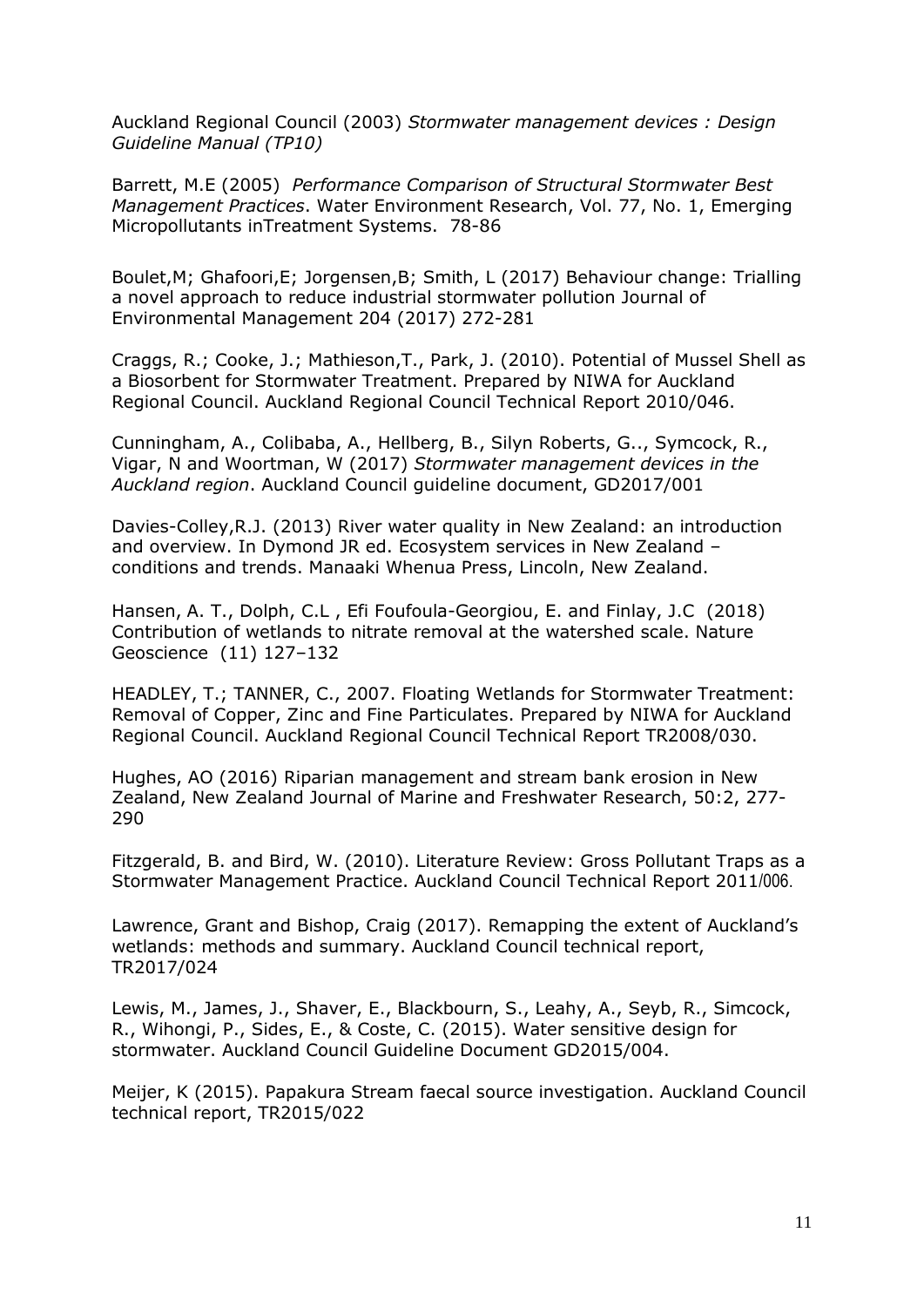Auckland Regional Council (2003) *Stormwater management devices : Design Guideline Manual (TP10)*

Barrett, M.E (2005) *Performance Comparison of Structural Stormwater Best Management Practices*. Water Environment Research, Vol. 77, No. 1, Emerging Micropollutants inTreatment Systems. 78-86

Boulet,M; Ghafoori,E; Jorgensen,B; Smith, L (2017) Behaviour change: Trialling a novel approach to reduce industrial stormwater pollution Journal of Environmental Management 204 (2017) 272-281

Craggs, R.; Cooke, J.; Mathieson,T., Park, J. (2010). Potential of Mussel Shell as a Biosorbent for Stormwater Treatment. Prepared by NIWA for Auckland Regional Council. Auckland Regional Council Technical Report 2010/046.

Cunningham, A., Colibaba, A., Hellberg, B., Silyn Roberts, G.., Symcock, R., Vigar, N and Woortman, W (2017) *Stormwater management devices in the Auckland region*. Auckland Council guideline document, GD2017/001

Davies-Colley,R.J. (2013) River water quality in New Zealand: an introduction and overview. In Dymond JR ed. Ecosystem services in New Zealand – conditions and trends. Manaaki Whenua Press, Lincoln, New Zealand.

Hansen, A. T., Dolph, C.L , Efi Foufoula-Georgiou, E. and Finlay, J.C (2018) Contribution of wetlands to nitrate removal at the watershed scale. Nature Geoscience (11) 127–132

HEADLEY, T.; TANNER, C., 2007. Floating Wetlands for Stormwater Treatment: Removal of Copper, Zinc and Fine Particulates. Prepared by NIWA for Auckland Regional Council. Auckland Regional Council Technical Report TR2008/030.

Hughes, AO (2016) Riparian management and stream bank erosion in New Zealand, New Zealand Journal of Marine and Freshwater Research, 50:2, 277- 290

Fitzgerald, B. and Bird, W. (2010). Literature Review: Gross Pollutant Traps as a Stormwater Management Practice. Auckland Council Technical Report 2011/006.

Lawrence, Grant and Bishop, Craig (2017). Remapping the extent of Auckland's wetlands: methods and summary. Auckland Council technical report, TR2017/024

Lewis, M., James, J., Shaver, E., Blackbourn, S., Leahy, A., Seyb, R., Simcock, R., Wihongi, P., Sides, E., & Coste, C. (2015). Water sensitive design for stormwater. Auckland Council Guideline Document GD2015/004.

Meijer, K (2015). Papakura Stream faecal source investigation. Auckland Council technical report, TR2015/022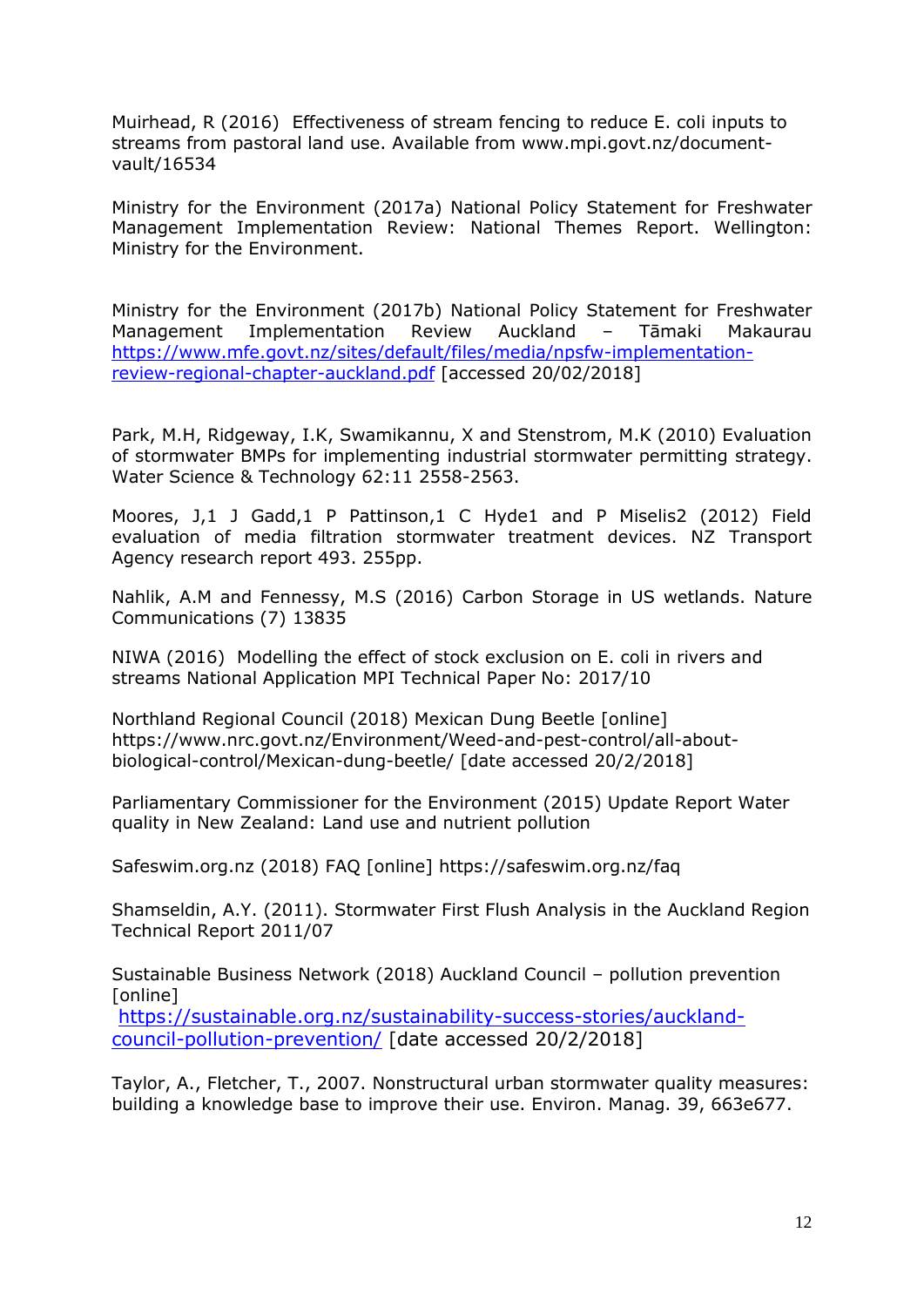Muirhead, R (2016) Effectiveness of stream fencing to reduce E. coli inputs to streams from pastoral land use. Available from [www.mpi.govt.nz/document](http://www.mpi.govt.nz/document-vault/16534)[vault/16534](http://www.mpi.govt.nz/document-vault/16534)

Ministry for the Environment (2017a) National Policy Statement for Freshwater Management Implementation Review: National Themes Report. Wellington: Ministry for the Environment.

Ministry for the Environment (2017b) National Policy Statement for Freshwater Management Implementation Review Auckland – Tāmaki Makaurau [https://www.mfe.govt.nz/sites/default/files/media/npsfw-implementation](https://www.mfe.govt.nz/sites/default/files/media/npsfw-implementation-review-regional-chapter-auckland.pdf)[review-regional-chapter-auckland.pdf](https://www.mfe.govt.nz/sites/default/files/media/npsfw-implementation-review-regional-chapter-auckland.pdf) [accessed 20/02/2018]

Park, M.H, Ridgeway, I.K, Swamikannu, X and Stenstrom, M.K (2010) Evaluation of stormwater BMPs for implementing industrial stormwater permitting strategy. Water Science & Technology 62:11 2558-2563.

Moores, J,1 J Gadd,1 P Pattinson,1 C Hyde1 and P Miselis2 (2012) Field evaluation of media filtration stormwater treatment devices. NZ Transport Agency research report 493. 255pp.

Nahlik, A.M and Fennessy, M.S (2016) Carbon Storage in US wetlands. Nature Communications (7) 13835

NIWA (2016) Modelling the effect of stock exclusion on E. coli in rivers and streams National Application MPI Technical Paper No: 2017/10

Northland Regional Council (2018) Mexican Dung Beetle [online] [https://www.nrc.govt.nz/Environment/Weed-and-pest-control/all-about](https://www.nrc.govt.nz/Environment/Weed-and-pest-control/all-about-biological-control/Mexican-dung-beetle/)[biological-control/Mexican-dung-beetle/](https://www.nrc.govt.nz/Environment/Weed-and-pest-control/all-about-biological-control/Mexican-dung-beetle/) [date accessed 20/2/2018]

Parliamentary Commissioner for the Environment (2015) Update Report Water quality in New Zealand: Land use and nutrient pollution

Safeswim.org.nz (2018) FAQ [online] https://safeswim.org.nz/faq

Shamseldin, A.Y. (2011). Stormwater First Flush Analysis in the Auckland Region Technical Report 2011/07

Sustainable Business Network (2018) Auckland Council – pollution prevention [online]

[https://sustainable.org.nz/sustainability-success-stories/auckland](https://sustainable.org.nz/sustainability-success-stories/auckland-council-pollution-prevention/)[council-pollution-prevention/](https://sustainable.org.nz/sustainability-success-stories/auckland-council-pollution-prevention/) [date accessed 20/2/2018]

Taylor, A., Fletcher, T., 2007. Nonstructural urban stormwater quality measures: building a knowledge base to improve their use. Environ. Manag. 39, 663e677.